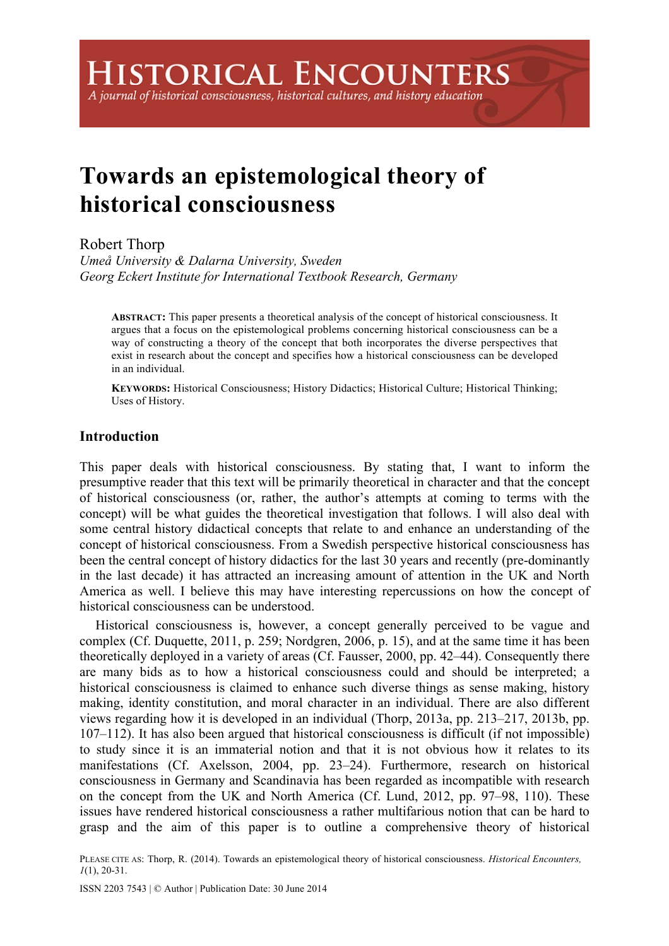## A journal of historical consciousness, historical cultures, and history education

# **Towards an epistemological theory of historical consciousness**

## Robert Thorp

*Umeå University & Dalarna University, Sweden Georg Eckert Institute for International Textbook Research, Germany*

**ABSTRACT:** This paper presents a theoretical analysis of the concept of historical consciousness. It argues that a focus on the epistemological problems concerning historical consciousness can be a way of constructing a theory of the concept that both incorporates the diverse perspectives that exist in research about the concept and specifies how a historical consciousness can be developed in an individual.

**KEYWORDS:** Historical Consciousness; History Didactics; Historical Culture; Historical Thinking; Uses of History.

## **Introduction**

This paper deals with historical consciousness. By stating that, I want to inform the presumptive reader that this text will be primarily theoretical in character and that the concept of historical consciousness (or, rather, the author's attempts at coming to terms with the concept) will be what guides the theoretical investigation that follows. I will also deal with some central history didactical concepts that relate to and enhance an understanding of the concept of historical consciousness. From a Swedish perspective historical consciousness has been the central concept of history didactics for the last 30 years and recently (pre-dominantly in the last decade) it has attracted an increasing amount of attention in the UK and North America as well. I believe this may have interesting repercussions on how the concept of historical consciousness can be understood.

Historical consciousness is, however, a concept generally perceived to be vague and complex (Cf. Duquette, 2011, p. 259; Nordgren, 2006, p. 15), and at the same time it has been theoretically deployed in a variety of areas (Cf. Fausser, 2000, pp. 42–44). Consequently there are many bids as to how a historical consciousness could and should be interpreted; a historical consciousness is claimed to enhance such diverse things as sense making, history making, identity constitution, and moral character in an individual. There are also different views regarding how it is developed in an individual (Thorp, 2013a, pp. 213–217, 2013b, pp. 107–112). It has also been argued that historical consciousness is difficult (if not impossible) to study since it is an immaterial notion and that it is not obvious how it relates to its manifestations (Cf. Axelsson, 2004, pp. 23–24). Furthermore, research on historical consciousness in Germany and Scandinavia has been regarded as incompatible with research on the concept from the UK and North America (Cf. Lund, 2012, pp. 97–98, 110). These issues have rendered historical consciousness a rather multifarious notion that can be hard to grasp and the aim of this paper is to outline a comprehensive theory of historical

PLEASE CITE AS: Thorp, R. (2014). Towards an epistemological theory of historical consciousness. *Historical Encounters, 1*(1), 20-31.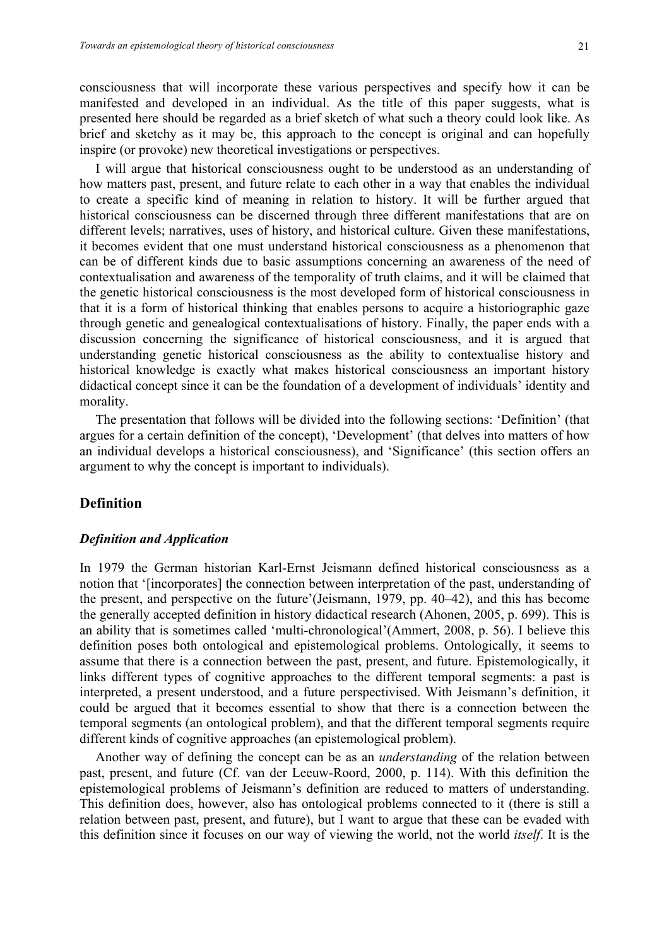consciousness that will incorporate these various perspectives and specify how it can be manifested and developed in an individual. As the title of this paper suggests, what is presented here should be regarded as a brief sketch of what such a theory could look like. As brief and sketchy as it may be, this approach to the concept is original and can hopefully inspire (or provoke) new theoretical investigations or perspectives.

I will argue that historical consciousness ought to be understood as an understanding of how matters past, present, and future relate to each other in a way that enables the individual to create a specific kind of meaning in relation to history. It will be further argued that historical consciousness can be discerned through three different manifestations that are on different levels; narratives, uses of history, and historical culture. Given these manifestations, it becomes evident that one must understand historical consciousness as a phenomenon that can be of different kinds due to basic assumptions concerning an awareness of the need of contextualisation and awareness of the temporality of truth claims, and it will be claimed that the genetic historical consciousness is the most developed form of historical consciousness in that it is a form of historical thinking that enables persons to acquire a historiographic gaze through genetic and genealogical contextualisations of history. Finally, the paper ends with a discussion concerning the significance of historical consciousness, and it is argued that understanding genetic historical consciousness as the ability to contextualise history and historical knowledge is exactly what makes historical consciousness an important history didactical concept since it can be the foundation of a development of individuals' identity and morality.

The presentation that follows will be divided into the following sections: 'Definition' (that argues for a certain definition of the concept), 'Development' (that delves into matters of how an individual develops a historical consciousness), and 'Significance' (this section offers an argument to why the concept is important to individuals).

## **Definition**

#### *Definition and Application*

In 1979 the German historian Karl-Ernst Jeismann defined historical consciousness as a notion that '[incorporates] the connection between interpretation of the past, understanding of the present, and perspective on the future'(Jeismann, 1979, pp. 40–42), and this has become the generally accepted definition in history didactical research (Ahonen, 2005, p. 699). This is an ability that is sometimes called 'multi-chronological'(Ammert, 2008, p. 56). I believe this definition poses both ontological and epistemological problems. Ontologically, it seems to assume that there is a connection between the past, present, and future. Epistemologically, it links different types of cognitive approaches to the different temporal segments: a past is interpreted, a present understood, and a future perspectivised. With Jeismann's definition, it could be argued that it becomes essential to show that there is a connection between the temporal segments (an ontological problem), and that the different temporal segments require different kinds of cognitive approaches (an epistemological problem).

Another way of defining the concept can be as an *understanding* of the relation between past, present, and future (Cf. van der Leeuw-Roord, 2000, p. 114). With this definition the epistemological problems of Jeismann's definition are reduced to matters of understanding. This definition does, however, also has ontological problems connected to it (there is still a relation between past, present, and future), but I want to argue that these can be evaded with this definition since it focuses on our way of viewing the world, not the world *itself*. It is the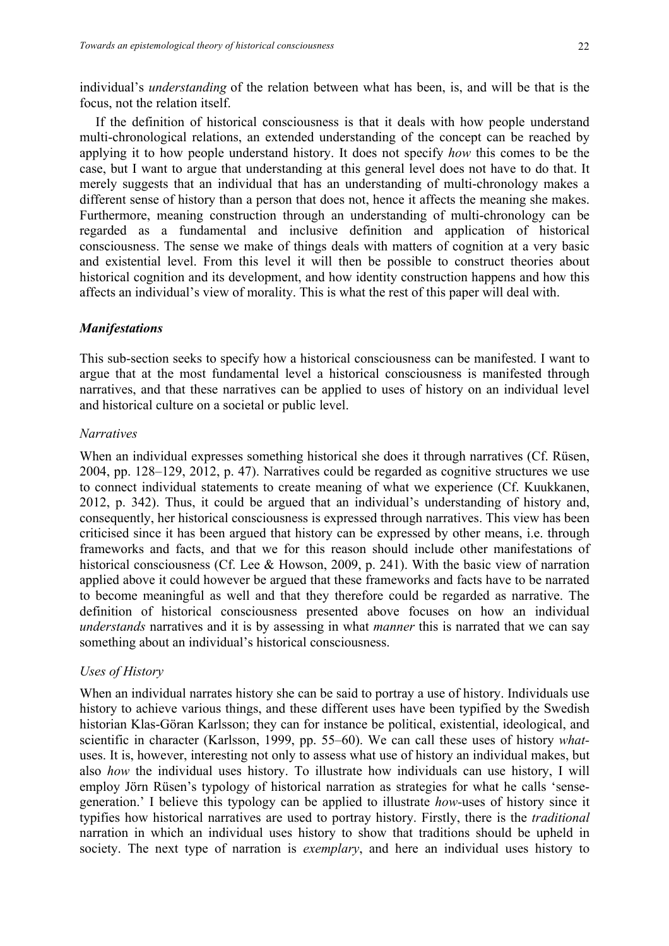individual's *understanding* of the relation between what has been, is, and will be that is the focus, not the relation itself.

If the definition of historical consciousness is that it deals with how people understand multi-chronological relations, an extended understanding of the concept can be reached by applying it to how people understand history. It does not specify *how* this comes to be the case, but I want to argue that understanding at this general level does not have to do that. It merely suggests that an individual that has an understanding of multi-chronology makes a different sense of history than a person that does not, hence it affects the meaning she makes. Furthermore, meaning construction through an understanding of multi-chronology can be regarded as a fundamental and inclusive definition and application of historical consciousness. The sense we make of things deals with matters of cognition at a very basic and existential level. From this level it will then be possible to construct theories about historical cognition and its development, and how identity construction happens and how this affects an individual's view of morality. This is what the rest of this paper will deal with.

## *Manifestations*

This sub-section seeks to specify how a historical consciousness can be manifested. I want to argue that at the most fundamental level a historical consciousness is manifested through narratives, and that these narratives can be applied to uses of history on an individual level and historical culture on a societal or public level.

## *Narratives*

When an individual expresses something historical she does it through narratives (Cf. Rüsen, 2004, pp. 128–129, 2012, p. 47). Narratives could be regarded as cognitive structures we use to connect individual statements to create meaning of what we experience (Cf. Kuukkanen, 2012, p. 342). Thus, it could be argued that an individual's understanding of history and, consequently, her historical consciousness is expressed through narratives. This view has been criticised since it has been argued that history can be expressed by other means, i.e. through frameworks and facts, and that we for this reason should include other manifestations of historical consciousness (Cf. Lee & Howson, 2009, p. 241). With the basic view of narration applied above it could however be argued that these frameworks and facts have to be narrated to become meaningful as well and that they therefore could be regarded as narrative. The definition of historical consciousness presented above focuses on how an individual *understands* narratives and it is by assessing in what *manner* this is narrated that we can say something about an individual's historical consciousness.

## *Uses of History*

When an individual narrates history she can be said to portray a use of history. Individuals use history to achieve various things, and these different uses have been typified by the Swedish historian Klas-Göran Karlsson; they can for instance be political, existential, ideological, and scientific in character (Karlsson, 1999, pp. 55–60). We can call these uses of history *what*uses. It is, however, interesting not only to assess what use of history an individual makes, but also *how* the individual uses history. To illustrate how individuals can use history, I will employ Jörn Rüsen's typology of historical narration as strategies for what he calls 'sensegeneration.' I believe this typology can be applied to illustrate *how-*uses of history since it typifies how historical narratives are used to portray history. Firstly, there is the *traditional* narration in which an individual uses history to show that traditions should be upheld in society. The next type of narration is *exemplary*, and here an individual uses history to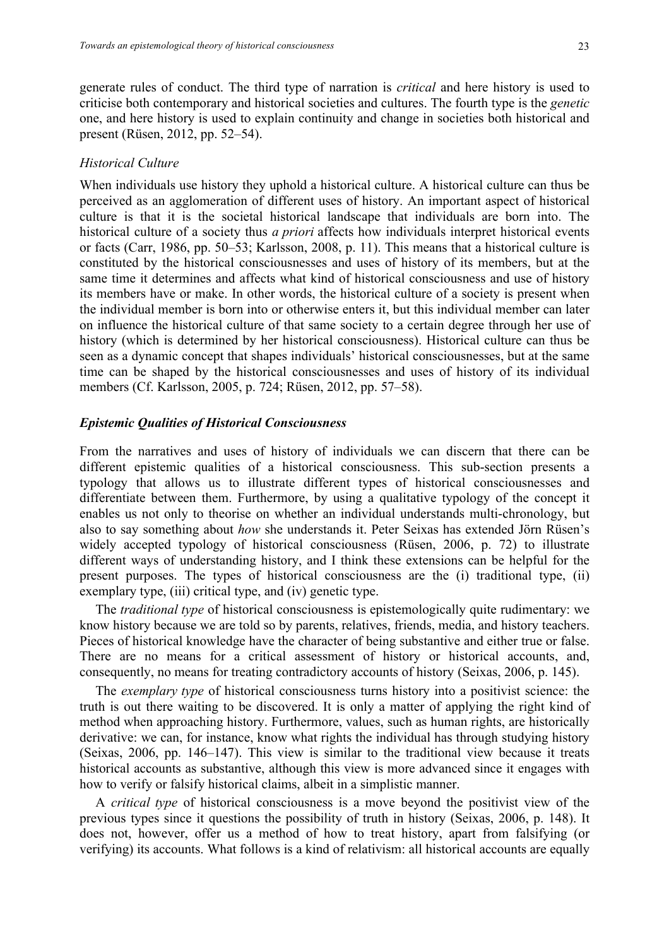generate rules of conduct. The third type of narration is *critical* and here history is used to criticise both contemporary and historical societies and cultures. The fourth type is the *genetic*  one, and here history is used to explain continuity and change in societies both historical and present (Rüsen, 2012, pp. 52–54).

#### *Historical Culture*

When individuals use history they uphold a historical culture. A historical culture can thus be perceived as an agglomeration of different uses of history. An important aspect of historical culture is that it is the societal historical landscape that individuals are born into. The historical culture of a society thus *a priori* affects how individuals interpret historical events or facts (Carr, 1986, pp. 50–53; Karlsson, 2008, p. 11). This means that a historical culture is constituted by the historical consciousnesses and uses of history of its members, but at the same time it determines and affects what kind of historical consciousness and use of history its members have or make. In other words, the historical culture of a society is present when the individual member is born into or otherwise enters it, but this individual member can later on influence the historical culture of that same society to a certain degree through her use of history (which is determined by her historical consciousness). Historical culture can thus be seen as a dynamic concept that shapes individuals' historical consciousnesses, but at the same time can be shaped by the historical consciousnesses and uses of history of its individual members (Cf. Karlsson, 2005, p. 724; Rüsen, 2012, pp. 57–58).

## *Epistemic Qualities of Historical Consciousness*

From the narratives and uses of history of individuals we can discern that there can be different epistemic qualities of a historical consciousness. This sub-section presents a typology that allows us to illustrate different types of historical consciousnesses and differentiate between them. Furthermore, by using a qualitative typology of the concept it enables us not only to theorise on whether an individual understands multi-chronology, but also to say something about *how* she understands it. Peter Seixas has extended Jörn Rüsen's widely accepted typology of historical consciousness (Rüsen, 2006, p. 72) to illustrate different ways of understanding history, and I think these extensions can be helpful for the present purposes. The types of historical consciousness are the (i) traditional type, (ii) exemplary type, (iii) critical type, and (iv) genetic type.

The *traditional type* of historical consciousness is epistemologically quite rudimentary: we know history because we are told so by parents, relatives, friends, media, and history teachers. Pieces of historical knowledge have the character of being substantive and either true or false. There are no means for a critical assessment of history or historical accounts, and, consequently, no means for treating contradictory accounts of history (Seixas, 2006, p. 145).

The *exemplary type* of historical consciousness turns history into a positivist science: the truth is out there waiting to be discovered. It is only a matter of applying the right kind of method when approaching history. Furthermore, values, such as human rights, are historically derivative: we can, for instance, know what rights the individual has through studying history (Seixas, 2006, pp. 146–147). This view is similar to the traditional view because it treats historical accounts as substantive, although this view is more advanced since it engages with how to verify or falsify historical claims, albeit in a simplistic manner.

A *critical type* of historical consciousness is a move beyond the positivist view of the previous types since it questions the possibility of truth in history (Seixas, 2006, p. 148). It does not, however, offer us a method of how to treat history, apart from falsifying (or verifying) its accounts. What follows is a kind of relativism: all historical accounts are equally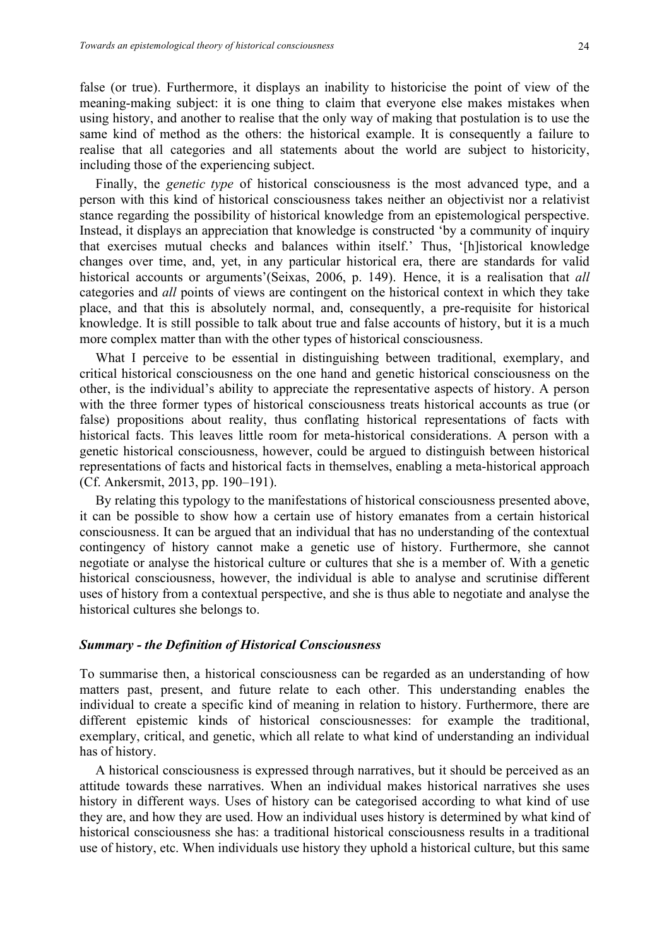false (or true). Furthermore, it displays an inability to historicise the point of view of the meaning-making subject: it is one thing to claim that everyone else makes mistakes when using history, and another to realise that the only way of making that postulation is to use the same kind of method as the others: the historical example. It is consequently a failure to realise that all categories and all statements about the world are subject to historicity, including those of the experiencing subject.

Finally, the *genetic type* of historical consciousness is the most advanced type, and a person with this kind of historical consciousness takes neither an objectivist nor a relativist stance regarding the possibility of historical knowledge from an epistemological perspective. Instead, it displays an appreciation that knowledge is constructed 'by a community of inquiry that exercises mutual checks and balances within itself.' Thus, '[h]istorical knowledge changes over time, and, yet, in any particular historical era, there are standards for valid historical accounts or arguments'(Seixas, 2006, p. 149). Hence, it is a realisation that *all* categories and *all* points of views are contingent on the historical context in which they take place, and that this is absolutely normal, and, consequently, a pre-requisite for historical knowledge. It is still possible to talk about true and false accounts of history, but it is a much more complex matter than with the other types of historical consciousness.

What I perceive to be essential in distinguishing between traditional, exemplary, and critical historical consciousness on the one hand and genetic historical consciousness on the other, is the individual's ability to appreciate the representative aspects of history. A person with the three former types of historical consciousness treats historical accounts as true (or false) propositions about reality, thus conflating historical representations of facts with historical facts. This leaves little room for meta-historical considerations. A person with a genetic historical consciousness, however, could be argued to distinguish between historical representations of facts and historical facts in themselves, enabling a meta-historical approach (Cf. Ankersmit, 2013, pp. 190–191).

By relating this typology to the manifestations of historical consciousness presented above, it can be possible to show how a certain use of history emanates from a certain historical consciousness. It can be argued that an individual that has no understanding of the contextual contingency of history cannot make a genetic use of history. Furthermore, she cannot negotiate or analyse the historical culture or cultures that she is a member of. With a genetic historical consciousness, however, the individual is able to analyse and scrutinise different uses of history from a contextual perspective, and she is thus able to negotiate and analyse the historical cultures she belongs to.

#### *Summary - the Definition of Historical Consciousness*

To summarise then, a historical consciousness can be regarded as an understanding of how matters past, present, and future relate to each other. This understanding enables the individual to create a specific kind of meaning in relation to history. Furthermore, there are different epistemic kinds of historical consciousnesses: for example the traditional, exemplary, critical, and genetic, which all relate to what kind of understanding an individual has of history.

A historical consciousness is expressed through narratives, but it should be perceived as an attitude towards these narratives. When an individual makes historical narratives she uses history in different ways. Uses of history can be categorised according to what kind of use they are, and how they are used. How an individual uses history is determined by what kind of historical consciousness she has: a traditional historical consciousness results in a traditional use of history, etc. When individuals use history they uphold a historical culture, but this same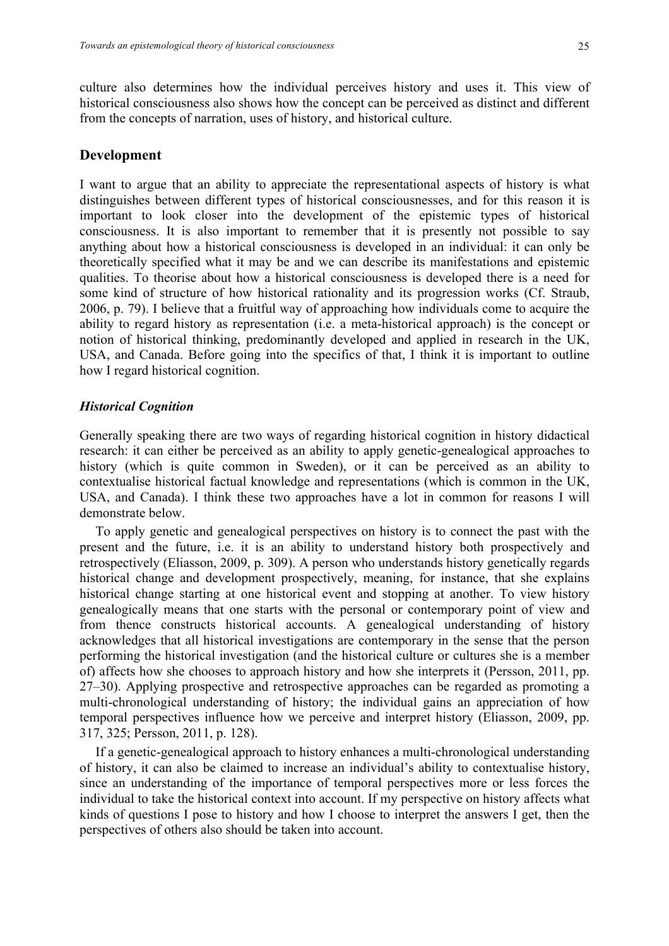culture also determines how the individual perceives history and uses it. This view of historical consciousness also shows how the concept can be perceived as distinct and different from the concepts of narration, uses of history, and historical culture.

## **Development**

I want to argue that an ability to appreciate the representational aspects of history is what distinguishes between different types of historical consciousnesses, and for this reason it is important to look closer into the development of the epistemic types of historical consciousness. It is also important to remember that it is presently not possible to say anything about how a historical consciousness is developed in an individual: it can only be theoretically specified what it may be and we can describe its manifestations and epistemic qualities. To theorise about how a historical consciousness is developed there is a need for some kind of structure of how historical rationality and its progression works (Cf. Straub, 2006, p. 79). I believe that a fruitful way of approaching how individuals come to acquire the ability to regard history as representation (i.e. a meta-historical approach) is the concept or notion of historical thinking, predominantly developed and applied in research in the UK, USA, and Canada. Before going into the specifics of that, I think it is important to outline how I regard historical cognition.

#### *Historical Cognition*

Generally speaking there are two ways of regarding historical cognition in history didactical research: it can either be perceived as an ability to apply genetic-genealogical approaches to history (which is quite common in Sweden), or it can be perceived as an ability to contextualise historical factual knowledge and representations (which is common in the UK, USA, and Canada). I think these two approaches have a lot in common for reasons I will demonstrate below.

To apply genetic and genealogical perspectives on history is to connect the past with the present and the future, i.e. it is an ability to understand history both prospectively and retrospectively (Eliasson, 2009, p. 309). A person who understands history genetically regards historical change and development prospectively, meaning, for instance, that she explains historical change starting at one historical event and stopping at another. To view history genealogically means that one starts with the personal or contemporary point of view and from thence constructs historical accounts. A genealogical understanding of history acknowledges that all historical investigations are contemporary in the sense that the person performing the historical investigation (and the historical culture or cultures she is a member of) affects how she chooses to approach history and how she interprets it (Persson, 2011, pp. 27–30). Applying prospective and retrospective approaches can be regarded as promoting a multi-chronological understanding of history; the individual gains an appreciation of how temporal perspectives influence how we perceive and interpret history (Eliasson, 2009, pp. 317, 325; Persson, 2011, p. 128).

If a genetic-genealogical approach to history enhances a multi-chronological understanding of history, it can also be claimed to increase an individual's ability to contextualise history, since an understanding of the importance of temporal perspectives more or less forces the individual to take the historical context into account. If my perspective on history affects what kinds of questions I pose to history and how I choose to interpret the answers I get, then the perspectives of others also should be taken into account.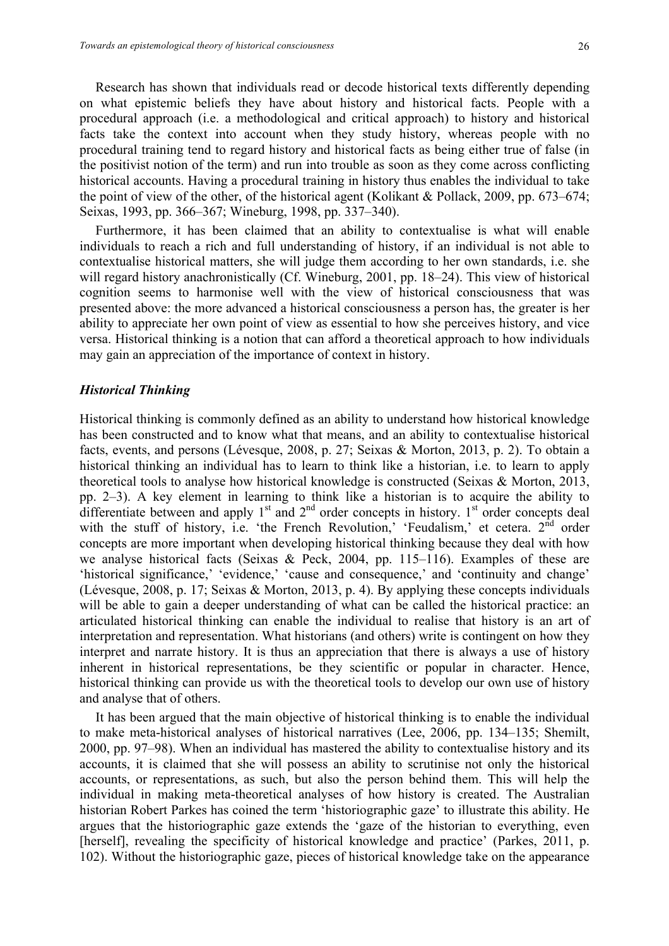Research has shown that individuals read or decode historical texts differently depending on what epistemic beliefs they have about history and historical facts. People with a procedural approach (i.e. a methodological and critical approach) to history and historical facts take the context into account when they study history, whereas people with no procedural training tend to regard history and historical facts as being either true of false (in the positivist notion of the term) and run into trouble as soon as they come across conflicting historical accounts. Having a procedural training in history thus enables the individual to take the point of view of the other, of the historical agent (Kolikant & Pollack, 2009, pp. 673–674; Seixas, 1993, pp. 366–367; Wineburg, 1998, pp. 337–340).

Furthermore, it has been claimed that an ability to contextualise is what will enable individuals to reach a rich and full understanding of history, if an individual is not able to contextualise historical matters, she will judge them according to her own standards, i.e. she will regard history anachronistically (Cf. Wineburg, 2001, pp. 18–24). This view of historical cognition seems to harmonise well with the view of historical consciousness that was presented above: the more advanced a historical consciousness a person has, the greater is her ability to appreciate her own point of view as essential to how she perceives history, and vice versa. Historical thinking is a notion that can afford a theoretical approach to how individuals may gain an appreciation of the importance of context in history.

#### *Historical Thinking*

Historical thinking is commonly defined as an ability to understand how historical knowledge has been constructed and to know what that means, and an ability to contextualise historical facts, events, and persons (Lévesque, 2008, p. 27; Seixas & Morton, 2013, p. 2). To obtain a historical thinking an individual has to learn to think like a historian, i.e. to learn to apply theoretical tools to analyse how historical knowledge is constructed (Seixas & Morton, 2013, pp. 2–3). A key element in learning to think like a historian is to acquire the ability to differentiate between and apply  $1<sup>st</sup>$  and  $2<sup>nd</sup>$  order concepts in history.  $1<sup>st</sup>$  order concepts deal with the stuff of history, i.e. 'the French Revolution,' 'Feudalism,' et cetera. 2<sup>nd</sup> order concepts are more important when developing historical thinking because they deal with how we analyse historical facts (Seixas & Peck, 2004, pp. 115–116). Examples of these are 'historical significance,' 'evidence,' 'cause and consequence,' and 'continuity and change' (Lévesque, 2008, p. 17; Seixas & Morton, 2013, p. 4). By applying these concepts individuals will be able to gain a deeper understanding of what can be called the historical practice: an articulated historical thinking can enable the individual to realise that history is an art of interpretation and representation. What historians (and others) write is contingent on how they interpret and narrate history. It is thus an appreciation that there is always a use of history inherent in historical representations, be they scientific or popular in character. Hence, historical thinking can provide us with the theoretical tools to develop our own use of history and analyse that of others.

It has been argued that the main objective of historical thinking is to enable the individual to make meta-historical analyses of historical narratives (Lee, 2006, pp. 134–135; Shemilt, 2000, pp. 97–98). When an individual has mastered the ability to contextualise history and its accounts, it is claimed that she will possess an ability to scrutinise not only the historical accounts, or representations, as such, but also the person behind them. This will help the individual in making meta-theoretical analyses of how history is created. The Australian historian Robert Parkes has coined the term 'historiographic gaze' to illustrate this ability. He argues that the historiographic gaze extends the 'gaze of the historian to everything, even [herself], revealing the specificity of historical knowledge and practice' (Parkes, 2011, p. 102). Without the historiographic gaze, pieces of historical knowledge take on the appearance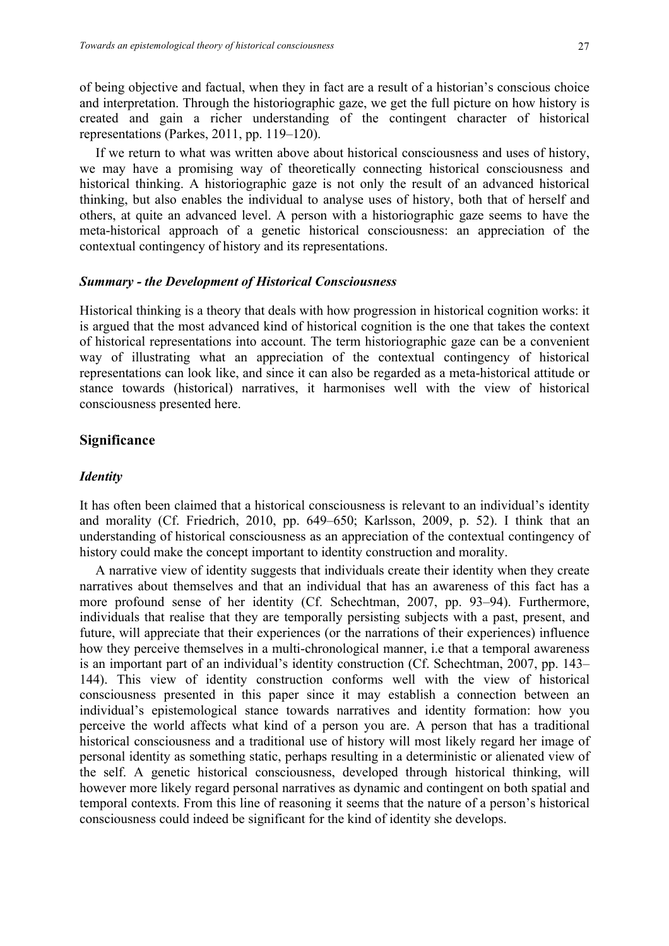of being objective and factual, when they in fact are a result of a historian's conscious choice and interpretation. Through the historiographic gaze, we get the full picture on how history is created and gain a richer understanding of the contingent character of historical representations (Parkes, 2011, pp. 119–120).

If we return to what was written above about historical consciousness and uses of history, we may have a promising way of theoretically connecting historical consciousness and historical thinking. A historiographic gaze is not only the result of an advanced historical thinking, but also enables the individual to analyse uses of history, both that of herself and others, at quite an advanced level. A person with a historiographic gaze seems to have the meta-historical approach of a genetic historical consciousness: an appreciation of the contextual contingency of history and its representations.

#### *Summary - the Development of Historical Consciousness*

Historical thinking is a theory that deals with how progression in historical cognition works: it is argued that the most advanced kind of historical cognition is the one that takes the context of historical representations into account. The term historiographic gaze can be a convenient way of illustrating what an appreciation of the contextual contingency of historical representations can look like, and since it can also be regarded as a meta-historical attitude or stance towards (historical) narratives, it harmonises well with the view of historical consciousness presented here.

## **Significance**

## *Identity*

It has often been claimed that a historical consciousness is relevant to an individual's identity and morality (Cf. Friedrich, 2010, pp. 649–650; Karlsson, 2009, p. 52). I think that an understanding of historical consciousness as an appreciation of the contextual contingency of history could make the concept important to identity construction and morality.

A narrative view of identity suggests that individuals create their identity when they create narratives about themselves and that an individual that has an awareness of this fact has a more profound sense of her identity (Cf. Schechtman, 2007, pp. 93–94). Furthermore, individuals that realise that they are temporally persisting subjects with a past, present, and future, will appreciate that their experiences (or the narrations of their experiences) influence how they perceive themselves in a multi-chronological manner, i.e that a temporal awareness is an important part of an individual's identity construction (Cf. Schechtman, 2007, pp. 143– 144). This view of identity construction conforms well with the view of historical consciousness presented in this paper since it may establish a connection between an individual's epistemological stance towards narratives and identity formation: how you perceive the world affects what kind of a person you are. A person that has a traditional historical consciousness and a traditional use of history will most likely regard her image of personal identity as something static, perhaps resulting in a deterministic or alienated view of the self. A genetic historical consciousness, developed through historical thinking, will however more likely regard personal narratives as dynamic and contingent on both spatial and temporal contexts. From this line of reasoning it seems that the nature of a person's historical consciousness could indeed be significant for the kind of identity she develops.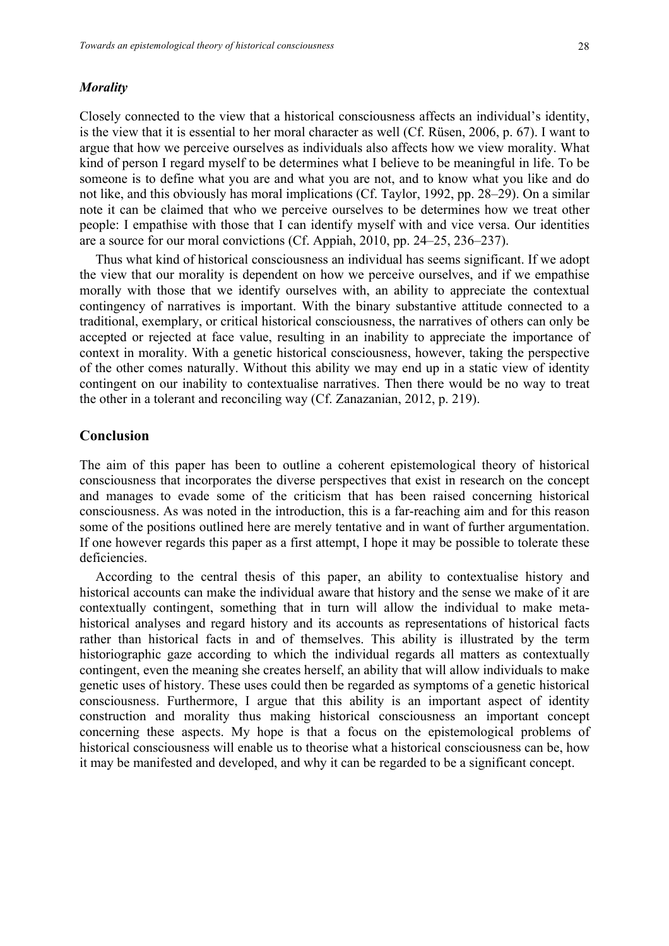#### *Morality*

Closely connected to the view that a historical consciousness affects an individual's identity, is the view that it is essential to her moral character as well (Cf. Rüsen, 2006, p. 67). I want to argue that how we perceive ourselves as individuals also affects how we view morality. What kind of person I regard myself to be determines what I believe to be meaningful in life. To be someone is to define what you are and what you are not, and to know what you like and do not like, and this obviously has moral implications (Cf. Taylor, 1992, pp. 28–29). On a similar note it can be claimed that who we perceive ourselves to be determines how we treat other people: I empathise with those that I can identify myself with and vice versa. Our identities are a source for our moral convictions (Cf. Appiah, 2010, pp. 24–25, 236–237).

Thus what kind of historical consciousness an individual has seems significant. If we adopt the view that our morality is dependent on how we perceive ourselves, and if we empathise morally with those that we identify ourselves with, an ability to appreciate the contextual contingency of narratives is important. With the binary substantive attitude connected to a traditional, exemplary, or critical historical consciousness, the narratives of others can only be accepted or rejected at face value, resulting in an inability to appreciate the importance of context in morality. With a genetic historical consciousness, however, taking the perspective of the other comes naturally. Without this ability we may end up in a static view of identity contingent on our inability to contextualise narratives. Then there would be no way to treat the other in a tolerant and reconciling way (Cf. Zanazanian, 2012, p. 219).

## **Conclusion**

The aim of this paper has been to outline a coherent epistemological theory of historical consciousness that incorporates the diverse perspectives that exist in research on the concept and manages to evade some of the criticism that has been raised concerning historical consciousness. As was noted in the introduction, this is a far-reaching aim and for this reason some of the positions outlined here are merely tentative and in want of further argumentation. If one however regards this paper as a first attempt, I hope it may be possible to tolerate these deficiencies.

According to the central thesis of this paper, an ability to contextualise history and historical accounts can make the individual aware that history and the sense we make of it are contextually contingent, something that in turn will allow the individual to make metahistorical analyses and regard history and its accounts as representations of historical facts rather than historical facts in and of themselves. This ability is illustrated by the term historiographic gaze according to which the individual regards all matters as contextually contingent, even the meaning she creates herself, an ability that will allow individuals to make genetic uses of history. These uses could then be regarded as symptoms of a genetic historical consciousness. Furthermore, I argue that this ability is an important aspect of identity construction and morality thus making historical consciousness an important concept concerning these aspects. My hope is that a focus on the epistemological problems of historical consciousness will enable us to theorise what a historical consciousness can be, how it may be manifested and developed, and why it can be regarded to be a significant concept.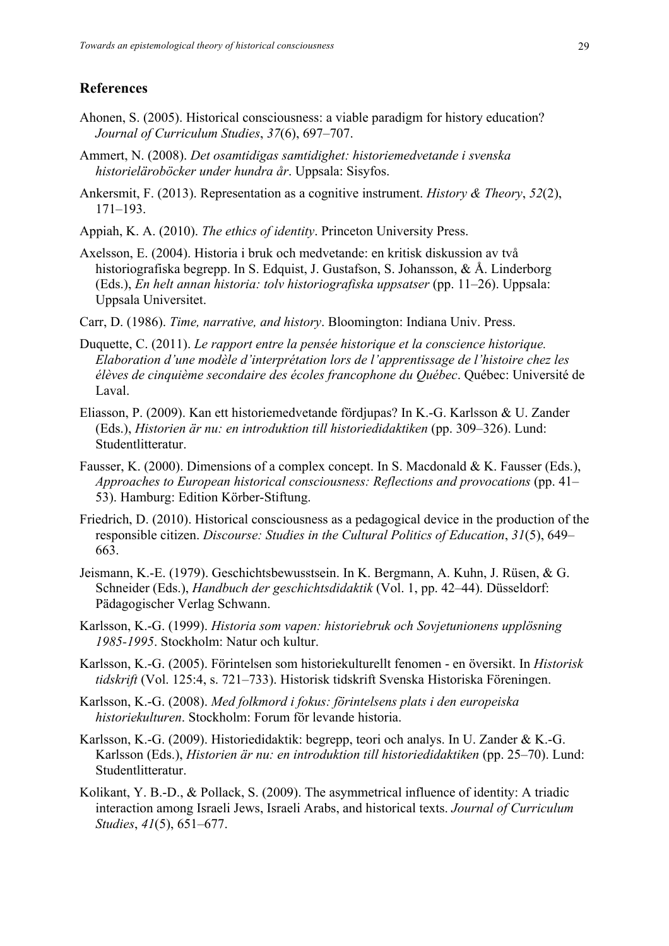## **References**

- Ahonen, S. (2005). Historical consciousness: a viable paradigm for history education? *Journal of Curriculum Studies*, *37*(6), 697–707.
- Ammert, N. (2008). *Det osamtidigas samtidighet: historiemedvetande i svenska historieläroböcker under hundra år*. Uppsala: Sisyfos.
- Ankersmit, F. (2013). Representation as a cognitive instrument. *History & Theory*, *52*(2), 171–193.
- Appiah, K. A. (2010). *The ethics of identity*. Princeton University Press.
- Axelsson, E. (2004). Historia i bruk och medvetande: en kritisk diskussion av två historiografiska begrepp. In S. Edquist, J. Gustafson, S. Johansson, & Å. Linderborg (Eds.), *En helt annan historia: tolv historiografiska uppsatser* (pp. 11–26). Uppsala: Uppsala Universitet.
- Carr, D. (1986). *Time, narrative, and history*. Bloomington: Indiana Univ. Press.
- Duquette, C. (2011). *Le rapport entre la pensée historique et la conscience historique. Elaboration d'une modèle d'interprétation lors de l'apprentissage de l'histoire chez les élèves de cinquième secondaire des écoles francophone du Québec*. Québec: Université de Laval.
- Eliasson, P. (2009). Kan ett historiemedvetande fördjupas? In K.-G. Karlsson & U. Zander (Eds.), *Historien är nu: en introduktion till historiedidaktiken* (pp. 309–326). Lund: Studentlitteratur.
- Fausser, K. (2000). Dimensions of a complex concept. In S. Macdonald & K. Fausser (Eds.), *Approaches to European historical consciousness: Reflections and provocations* (pp. 41– 53). Hamburg: Edition Körber-Stiftung.
- Friedrich, D. (2010). Historical consciousness as a pedagogical device in the production of the responsible citizen. *Discourse: Studies in the Cultural Politics of Education*, *31*(5), 649– 663.
- Jeismann, K.-E. (1979). Geschichtsbewusstsein. In K. Bergmann, A. Kuhn, J. Rüsen, & G. Schneider (Eds.), *Handbuch der geschichtsdidaktik* (Vol. 1, pp. 42–44). Düsseldorf: Pädagogischer Verlag Schwann.
- Karlsson, K.-G. (1999). *Historia som vapen: historiebruk och Sovjetunionens upplösning 1985-1995*. Stockholm: Natur och kultur.
- Karlsson, K.-G. (2005). Förintelsen som historiekulturellt fenomen en översikt. In *Historisk tidskrift* (Vol. 125:4, s. 721–733). Historisk tidskrift Svenska Historiska Föreningen.
- Karlsson, K.-G. (2008). *Med folkmord i fokus: förintelsens plats i den europeiska historiekulturen*. Stockholm: Forum för levande historia.
- Karlsson, K.-G. (2009). Historiedidaktik: begrepp, teori och analys. In U. Zander & K.-G. Karlsson (Eds.), *Historien är nu: en introduktion till historiedidaktiken* (pp. 25–70). Lund: Studentlitteratur.
- Kolikant, Y. B.-D., & Pollack, S. (2009). The asymmetrical influence of identity: A triadic interaction among Israeli Jews, Israeli Arabs, and historical texts. *Journal of Curriculum Studies*, *41*(5), 651–677.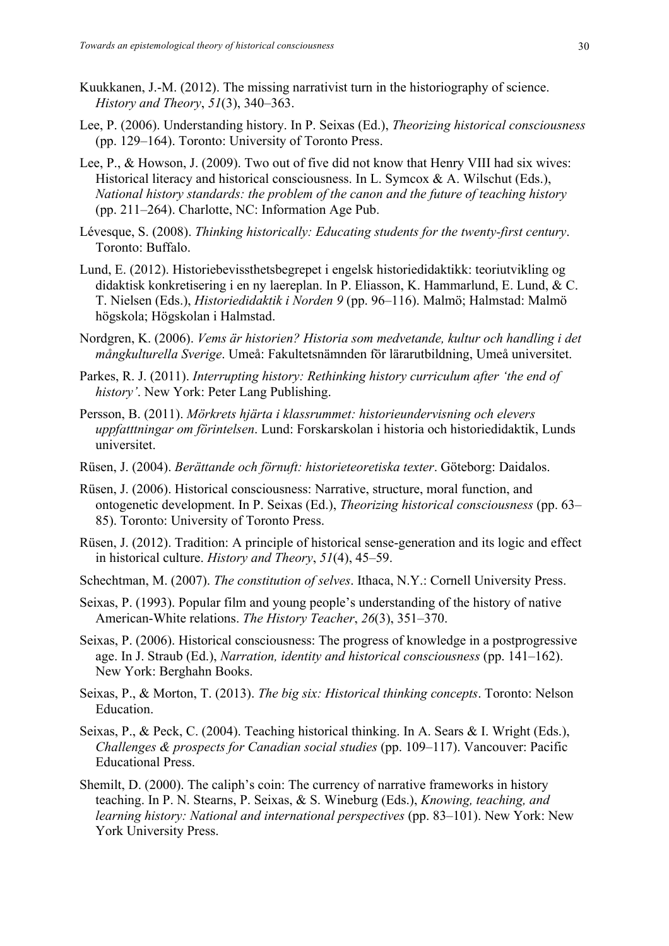- Kuukkanen, J.-M. (2012). The missing narrativist turn in the historiography of science. *History and Theory*, *51*(3), 340–363.
- Lee, P. (2006). Understanding history. In P. Seixas (Ed.), *Theorizing historical consciousness* (pp. 129–164). Toronto: University of Toronto Press.
- Lee, P., & Howson, J. (2009). Two out of five did not know that Henry VIII had six wives: Historical literacy and historical consciousness. In L. Symcox & A. Wilschut (Eds.), *National history standards: the problem of the canon and the future of teaching history* (pp. 211–264). Charlotte, NC: Information Age Pub.
- Lévesque, S. (2008). *Thinking historically: Educating students for the twenty-first century*. Toronto: Buffalo.
- Lund, E. (2012). Historiebevissthetsbegrepet i engelsk historiedidaktikk: teoriutvikling og didaktisk konkretisering i en ny laereplan. In P. Eliasson, K. Hammarlund, E. Lund, & C. T. Nielsen (Eds.), *Historiedidaktik i Norden 9* (pp. 96–116). Malmö; Halmstad: Malmö högskola; Högskolan i Halmstad.
- Nordgren, K. (2006). *Vems är historien? Historia som medvetande, kultur och handling i det mångkulturella Sverige*. Umeå: Fakultetsnämnden för lärarutbildning, Umeå universitet.
- Parkes, R. J. (2011). *Interrupting history: Rethinking history curriculum after 'the end of history'*. New York: Peter Lang Publishing.
- Persson, B. (2011). *Mörkrets hjärta i klassrummet: historieundervisning och elevers uppfatttningar om förintelsen*. Lund: Forskarskolan i historia och historiedidaktik, Lunds universitet.
- Rüsen, J. (2004). *Berättande och förnuft: historieteoretiska texter*. Göteborg: Daidalos.
- Rüsen, J. (2006). Historical consciousness: Narrative, structure, moral function, and ontogenetic development. In P. Seixas (Ed.), *Theorizing historical consciousness* (pp. 63– 85). Toronto: University of Toronto Press.
- Rüsen, J. (2012). Tradition: A principle of historical sense-generation and its logic and effect in historical culture. *History and Theory*, *51*(4), 45–59.
- Schechtman, M. (2007). *The constitution of selves*. Ithaca, N.Y.: Cornell University Press.
- Seixas, P. (1993). Popular film and young people's understanding of the history of native American-White relations. *The History Teacher*, *26*(3), 351–370.
- Seixas, P. (2006). Historical consciousness: The progress of knowledge in a postprogressive age. In J. Straub (Ed.), *Narration, identity and historical consciousness* (pp. 141–162). New York: Berghahn Books.
- Seixas, P., & Morton, T. (2013). *The big six: Historical thinking concepts*. Toronto: Nelson Education.
- Seixas, P., & Peck, C. (2004). Teaching historical thinking. In A. Sears & I. Wright (Eds.), *Challenges & prospects for Canadian social studies* (pp. 109–117). Vancouver: Pacific Educational Press.
- Shemilt, D. (2000). The caliph's coin: The currency of narrative frameworks in history teaching. In P. N. Stearns, P. Seixas, & S. Wineburg (Eds.), *Knowing, teaching, and learning history: National and international perspectives* (pp. 83–101). New York: New York University Press.